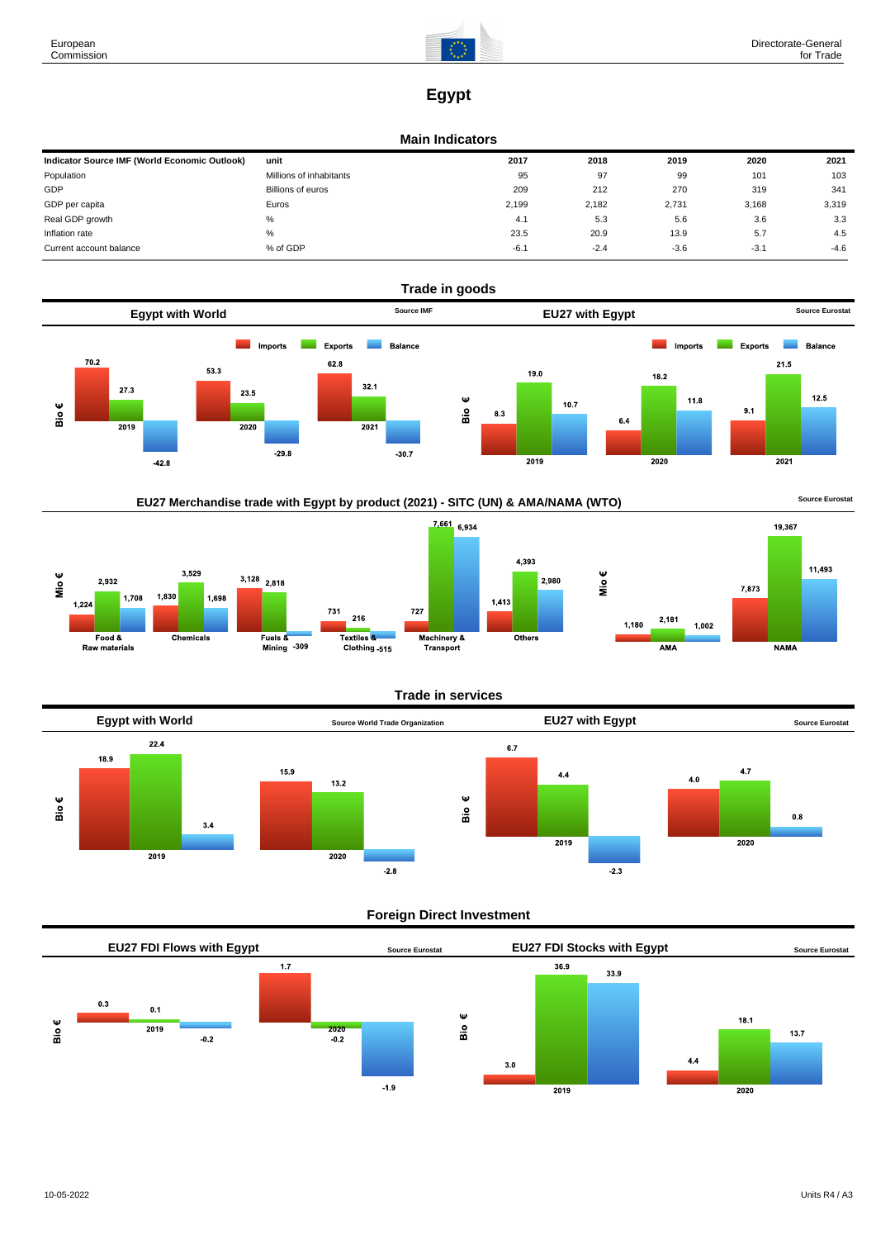

# **Egypt**

#### **Main Indicators**

| Indicator Source IMF (World Economic Outlook) | unit                    | 2017   | 2018   | 2019   | 2020   | 2021   |
|-----------------------------------------------|-------------------------|--------|--------|--------|--------|--------|
| Population                                    | Millions of inhabitants | 95     | 97     | 99     | 101    | 103    |
| GDP                                           | Billions of euros       | 209    | 212    | 270    | 319    | 341    |
| GDP per capita                                | Euros                   | 2,199  | 2.182  | 2,731  | 3,168  | 3,319  |
| Real GDP growth                               | %                       | 4.1    | 5.3    | 5.6    | 3.6    | 3.3    |
| Inflation rate                                | %                       | 23.5   | 20.9   | 13.9   | 5.7    | 4.5    |
| Current account balance                       | % of GDP                | $-6.1$ | $-2.4$ | $-3.6$ | $-3.1$ | $-4.6$ |







## **Trade in services**



## **Foreign Direct Investment**